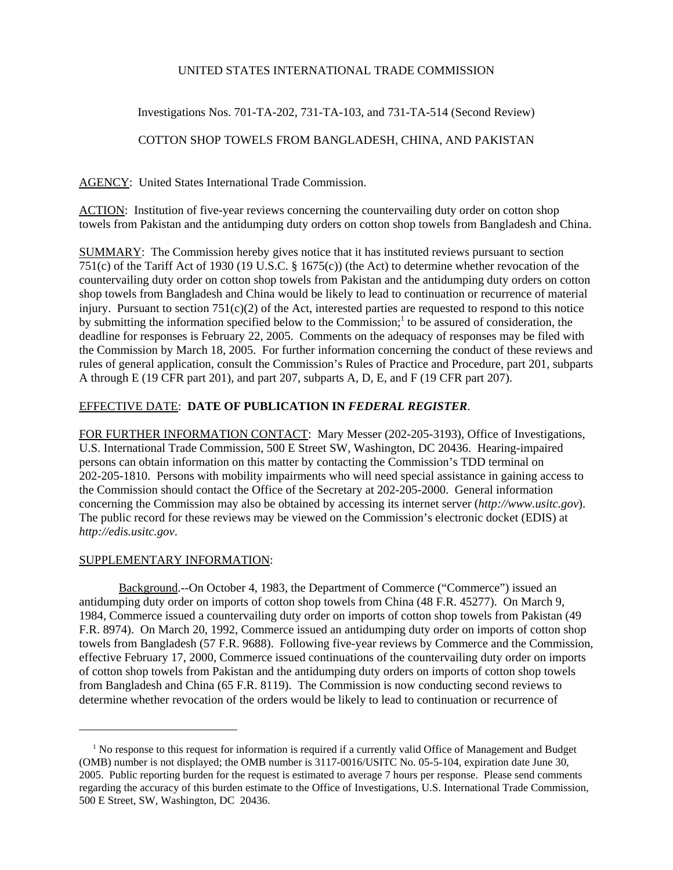### UNITED STATES INTERNATIONAL TRADE COMMISSION

# Investigations Nos. 701-TA-202, 731-TA-103, and 731-TA-514 (Second Review)

# COTTON SHOP TOWELS FROM BANGLADESH, CHINA, AND PAKISTAN

AGENCY: United States International Trade Commission.

ACTION: Institution of five-year reviews concerning the countervailing duty order on cotton shop towels from Pakistan and the antidumping duty orders on cotton shop towels from Bangladesh and China.

SUMMARY: The Commission hereby gives notice that it has instituted reviews pursuant to section 751(c) of the Tariff Act of 1930 (19 U.S.C. § 1675(c)) (the Act) to determine whether revocation of the countervailing duty order on cotton shop towels from Pakistan and the antidumping duty orders on cotton shop towels from Bangladesh and China would be likely to lead to continuation or recurrence of material injury. Pursuant to section 751(c)(2) of the Act, interested parties are requested to respond to this notice by submitting the information specified below to the Commission;<sup>1</sup> to be assured of consideration, the deadline for responses is February 22, 2005. Comments on the adequacy of responses may be filed with the Commission by March 18, 2005. For further information concerning the conduct of these reviews and rules of general application, consult the Commission's Rules of Practice and Procedure, part 201, subparts A through E (19 CFR part 201), and part 207, subparts A, D, E, and F (19 CFR part 207).

# EFFECTIVE DATE: **DATE OF PUBLICATION IN** *FEDERAL REGISTER*.

FOR FURTHER INFORMATION CONTACT: Mary Messer (202-205-3193), Office of Investigations, U.S. International Trade Commission, 500 E Street SW, Washington, DC 20436. Hearing-impaired persons can obtain information on this matter by contacting the Commission's TDD terminal on 202-205-1810. Persons with mobility impairments who will need special assistance in gaining access to the Commission should contact the Office of the Secretary at 202-205-2000. General information concerning the Commission may also be obtained by accessing its internet server (*http://www.usitc.gov*). The public record for these reviews may be viewed on the Commission's electronic docket (EDIS) at *http://edis.usitc.gov*.

#### SUPPLEMENTARY INFORMATION:

Background.--On October 4, 1983, the Department of Commerce ("Commerce") issued an antidumping duty order on imports of cotton shop towels from China (48 F.R. 45277). On March 9, 1984, Commerce issued a countervailing duty order on imports of cotton shop towels from Pakistan (49 F.R. 8974). On March 20, 1992, Commerce issued an antidumping duty order on imports of cotton shop towels from Bangladesh (57 F.R. 9688). Following five-year reviews by Commerce and the Commission, effective February 17, 2000, Commerce issued continuations of the countervailing duty order on imports of cotton shop towels from Pakistan and the antidumping duty orders on imports of cotton shop towels from Bangladesh and China (65 F.R. 8119). The Commission is now conducting second reviews to determine whether revocation of the orders would be likely to lead to continuation or recurrence of

<sup>&</sup>lt;sup>1</sup> No response to this request for information is required if a currently valid Office of Management and Budget (OMB) number is not displayed; the OMB number is 3117-0016/USITC No. 05-5-104, expiration date June 30, 2005. Public reporting burden for the request is estimated to average 7 hours per response. Please send comments regarding the accuracy of this burden estimate to the Office of Investigations, U.S. International Trade Commission, 500 E Street, SW, Washington, DC 20436.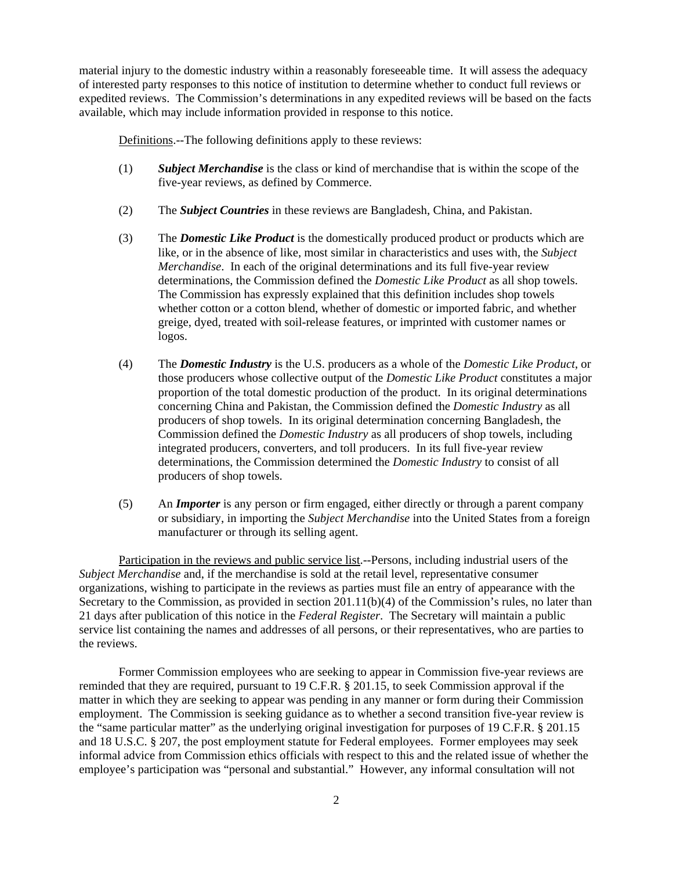material injury to the domestic industry within a reasonably foreseeable time. It will assess the adequacy of interested party responses to this notice of institution to determine whether to conduct full reviews or expedited reviews. The Commission's determinations in any expedited reviews will be based on the facts available, which may include information provided in response to this notice.

Definitions.--The following definitions apply to these reviews:

- (1) *Subject Merchandise* is the class or kind of merchandise that is within the scope of the five-year reviews, as defined by Commerce.
- (2) The *Subject Countries* in these reviews are Bangladesh, China, and Pakistan.
- (3) The *Domestic Like Product* is the domestically produced product or products which are like, or in the absence of like, most similar in characteristics and uses with, the *Subject Merchandise*. In each of the original determinations and its full five-year review determinations, the Commission defined the *Domestic Like Product* as all shop towels. The Commission has expressly explained that this definition includes shop towels whether cotton or a cotton blend, whether of domestic or imported fabric, and whether greige, dyed, treated with soil-release features, or imprinted with customer names or logos.
- (4) The *Domestic Industry* is the U.S. producers as a whole of the *Domestic Like Product*, or those producers whose collective output of the *Domestic Like Product* constitutes a major proportion of the total domestic production of the product. In its original determinations concerning China and Pakistan, the Commission defined the *Domestic Industry* as all producers of shop towels. In its original determination concerning Bangladesh, the Commission defined the *Domestic Industry* as all producers of shop towels, including integrated producers, converters, and toll producers. In its full five-year review determinations, the Commission determined the *Domestic Industry* to consist of all producers of shop towels.
- (5) An *Importer* is any person or firm engaged, either directly or through a parent company or subsidiary, in importing the *Subject Merchandise* into the United States from a foreign manufacturer or through its selling agent.

Participation in the reviews and public service list.--Persons, including industrial users of the *Subject Merchandise* and, if the merchandise is sold at the retail level, representative consumer organizations, wishing to participate in the reviews as parties must file an entry of appearance with the Secretary to the Commission, as provided in section 201.11(b)(4) of the Commission's rules, no later than 21 days after publication of this notice in the *Federal Register*. The Secretary will maintain a public service list containing the names and addresses of all persons, or their representatives, who are parties to the reviews.

Former Commission employees who are seeking to appear in Commission five-year reviews are reminded that they are required, pursuant to 19 C.F.R. § 201.15, to seek Commission approval if the matter in which they are seeking to appear was pending in any manner or form during their Commission employment. The Commission is seeking guidance as to whether a second transition five-year review is the "same particular matter" as the underlying original investigation for purposes of 19 C.F.R. § 201.15 and 18 U.S.C. § 207, the post employment statute for Federal employees. Former employees may seek informal advice from Commission ethics officials with respect to this and the related issue of whether the employee's participation was "personal and substantial." However, any informal consultation will not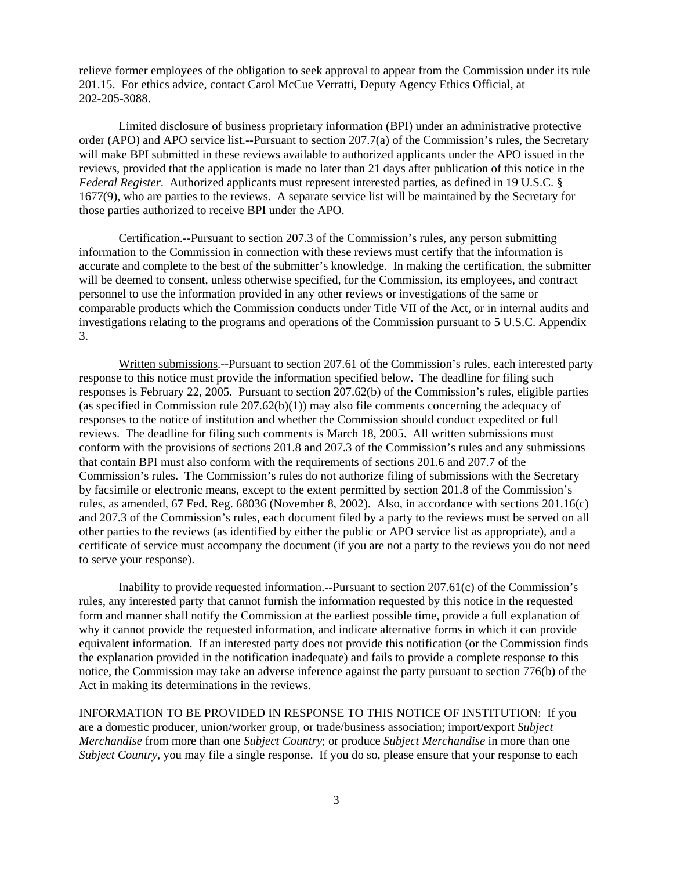relieve former employees of the obligation to seek approval to appear from the Commission under its rule 201.15. For ethics advice, contact Carol McCue Verratti, Deputy Agency Ethics Official, at 202-205-3088.

Limited disclosure of business proprietary information (BPI) under an administrative protective order (APO) and APO service list.--Pursuant to section 207.7(a) of the Commission's rules, the Secretary will make BPI submitted in these reviews available to authorized applicants under the APO issued in the reviews, provided that the application is made no later than 21 days after publication of this notice in the *Federal Register*. Authorized applicants must represent interested parties, as defined in 19 U.S.C. § 1677(9), who are parties to the reviews. A separate service list will be maintained by the Secretary for those parties authorized to receive BPI under the APO.

Certification.--Pursuant to section 207.3 of the Commission's rules, any person submitting information to the Commission in connection with these reviews must certify that the information is accurate and complete to the best of the submitter's knowledge. In making the certification, the submitter will be deemed to consent, unless otherwise specified, for the Commission, its employees, and contract personnel to use the information provided in any other reviews or investigations of the same or comparable products which the Commission conducts under Title VII of the Act, or in internal audits and investigations relating to the programs and operations of the Commission pursuant to 5 U.S.C. Appendix 3.

Written submissions.--Pursuant to section 207.61 of the Commission's rules, each interested party response to this notice must provide the information specified below. The deadline for filing such responses is February 22, 2005. Pursuant to section 207.62(b) of the Commission's rules, eligible parties (as specified in Commission rule  $207.62(b)(1)$ ) may also file comments concerning the adequacy of responses to the notice of institution and whether the Commission should conduct expedited or full reviews. The deadline for filing such comments is March 18, 2005. All written submissions must conform with the provisions of sections 201.8 and 207.3 of the Commission's rules and any submissions that contain BPI must also conform with the requirements of sections 201.6 and 207.7 of the Commission's rules. The Commission's rules do not authorize filing of submissions with the Secretary by facsimile or electronic means, except to the extent permitted by section 201.8 of the Commission's rules, as amended, 67 Fed. Reg. 68036 (November 8, 2002). Also, in accordance with sections 201.16(c) and 207.3 of the Commission's rules, each document filed by a party to the reviews must be served on all other parties to the reviews (as identified by either the public or APO service list as appropriate), and a certificate of service must accompany the document (if you are not a party to the reviews you do not need to serve your response).

Inability to provide requested information.--Pursuant to section 207.61(c) of the Commission's rules, any interested party that cannot furnish the information requested by this notice in the requested form and manner shall notify the Commission at the earliest possible time, provide a full explanation of why it cannot provide the requested information, and indicate alternative forms in which it can provide equivalent information. If an interested party does not provide this notification (or the Commission finds the explanation provided in the notification inadequate) and fails to provide a complete response to this notice, the Commission may take an adverse inference against the party pursuant to section 776(b) of the Act in making its determinations in the reviews.

INFORMATION TO BE PROVIDED IN RESPONSE TO THIS NOTICE OF INSTITUTION: If you are a domestic producer, union/worker group, or trade/business association; import/export *Subject Merchandise* from more than one *Subject Country*; or produce *Subject Merchandise* in more than one *Subject Country*, you may file a single response. If you do so, please ensure that your response to each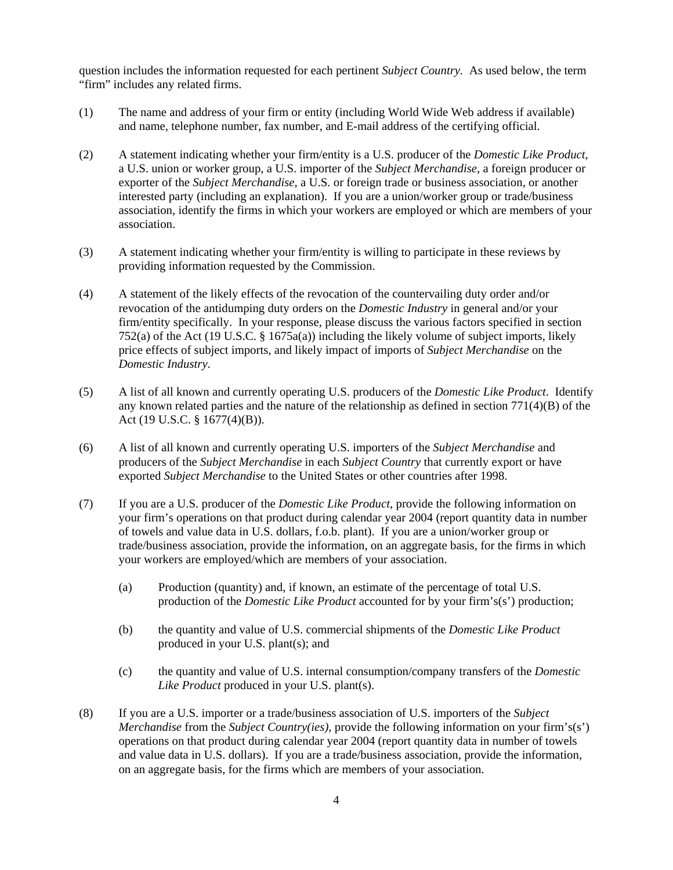question includes the information requested for each pertinent *Subject Country.* As used below, the term "firm" includes any related firms.

- (1) The name and address of your firm or entity (including World Wide Web address if available) and name, telephone number, fax number, and E-mail address of the certifying official.
- (2) A statement indicating whether your firm/entity is a U.S. producer of the *Domestic Like Product*, a U.S. union or worker group, a U.S. importer of the *Subject Merchandise*, a foreign producer or exporter of the *Subject Merchandise*, a U.S. or foreign trade or business association, or another interested party (including an explanation). If you are a union/worker group or trade/business association, identify the firms in which your workers are employed or which are members of your association.
- (3) A statement indicating whether your firm/entity is willing to participate in these reviews by providing information requested by the Commission.
- (4) A statement of the likely effects of the revocation of the countervailing duty order and/or revocation of the antidumping duty orders on the *Domestic Industry* in general and/or your firm/entity specifically. In your response, please discuss the various factors specified in section 752(a) of the Act (19 U.S.C. § 1675a(a)) including the likely volume of subject imports, likely price effects of subject imports, and likely impact of imports of *Subject Merchandise* on the *Domestic Industry*.
- (5) A list of all known and currently operating U.S. producers of the *Domestic Like Product*. Identify any known related parties and the nature of the relationship as defined in section  $771(4)(B)$  of the Act (19 U.S.C. § 1677(4)(B)).
- (6) A list of all known and currently operating U.S. importers of the *Subject Merchandise* and producers of the *Subject Merchandise* in each *Subject Country* that currently export or have exported *Subject Merchandise* to the United States or other countries after 1998.
- (7) If you are a U.S. producer of the *Domestic Like Product*, provide the following information on your firm's operations on that product during calendar year 2004 (report quantity data in number of towels and value data in U.S. dollars, f.o.b. plant). If you are a union/worker group or trade/business association, provide the information, on an aggregate basis, for the firms in which your workers are employed/which are members of your association.
	- (a) Production (quantity) and, if known, an estimate of the percentage of total U.S. production of the *Domestic Like Product* accounted for by your firm's(s') production;
	- (b) the quantity and value of U.S. commercial shipments of the *Domestic Like Product* produced in your U.S. plant(s); and
	- (c) the quantity and value of U.S. internal consumption/company transfers of the *Domestic Like Product* produced in your U.S. plant(s).
- (8) If you are a U.S. importer or a trade/business association of U.S. importers of the *Subject Merchandise* from the *Subject Country(ies)*, provide the following information on your firm's(s') operations on that product during calendar year 2004 (report quantity data in number of towels and value data in U.S. dollars). If you are a trade/business association, provide the information, on an aggregate basis, for the firms which are members of your association.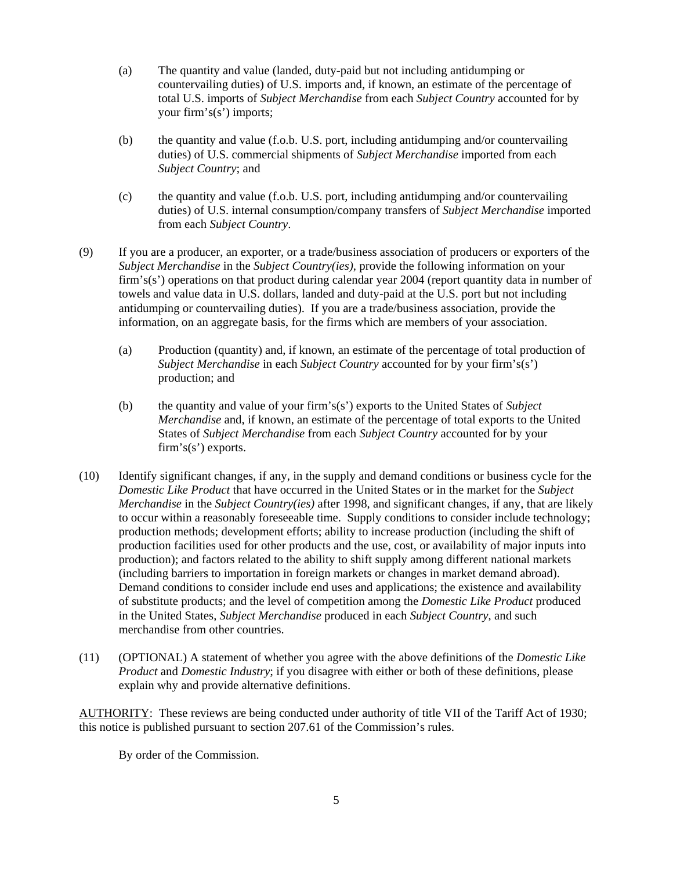- (a) The quantity and value (landed, duty-paid but not including antidumping or countervailing duties) of U.S. imports and, if known, an estimate of the percentage of total U.S. imports of *Subject Merchandise* from each *Subject Country* accounted for by your firm's(s') imports;
- (b) the quantity and value (f.o.b. U.S. port, including antidumping and/or countervailing duties) of U.S. commercial shipments of *Subject Merchandise* imported from each *Subject Country*; and
- (c) the quantity and value (f.o.b. U.S. port, including antidumping and/or countervailing duties) of U.S. internal consumption/company transfers of *Subject Merchandise* imported from each *Subject Country*.
- (9) If you are a producer, an exporter, or a trade/business association of producers or exporters of the *Subject Merchandise* in the *Subject Country(ies)*, provide the following information on your firm's(s') operations on that product during calendar year 2004 (report quantity data in number of towels and value data in U.S. dollars, landed and duty-paid at the U.S. port but not including antidumping or countervailing duties). If you are a trade/business association, provide the information, on an aggregate basis, for the firms which are members of your association.
	- (a) Production (quantity) and, if known, an estimate of the percentage of total production of *Subject Merchandise* in each *Subject Country* accounted for by your firm's(s') production; and
	- (b) the quantity and value of your firm's(s') exports to the United States of *Subject Merchandise* and, if known, an estimate of the percentage of total exports to the United States of *Subject Merchandise* from each *Subject Country* accounted for by your firm's(s') exports.
- (10) Identify significant changes, if any, in the supply and demand conditions or business cycle for the *Domestic Like Product* that have occurred in the United States or in the market for the *Subject Merchandise* in the *Subject Country(ies)* after 1998, and significant changes, if any, that are likely to occur within a reasonably foreseeable time. Supply conditions to consider include technology; production methods; development efforts; ability to increase production (including the shift of production facilities used for other products and the use, cost, or availability of major inputs into production); and factors related to the ability to shift supply among different national markets (including barriers to importation in foreign markets or changes in market demand abroad). Demand conditions to consider include end uses and applications; the existence and availability of substitute products; and the level of competition among the *Domestic Like Product* produced in the United States, *Subject Merchandise* produced in each *Subject Country*, and such merchandise from other countries.
- (11) (OPTIONAL) A statement of whether you agree with the above definitions of the *Domestic Like Product* and *Domestic Industry*; if you disagree with either or both of these definitions, please explain why and provide alternative definitions.

AUTHORITY: These reviews are being conducted under authority of title VII of the Tariff Act of 1930; this notice is published pursuant to section 207.61 of the Commission's rules.

By order of the Commission.